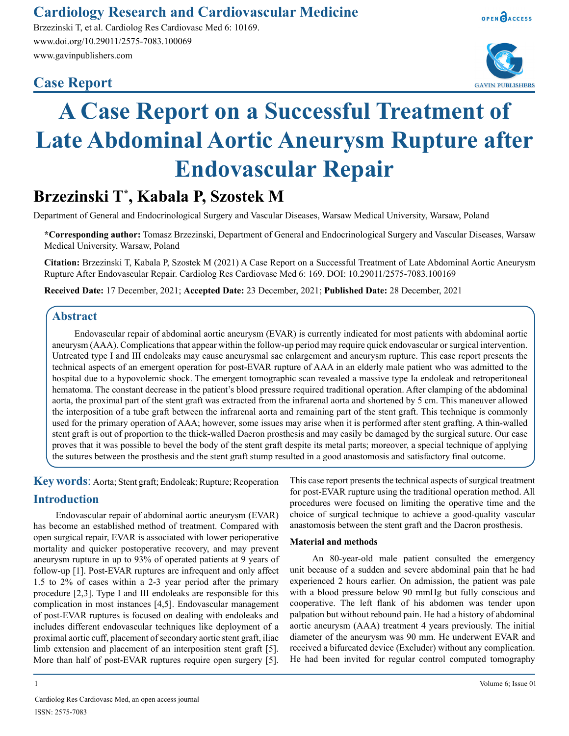## **Cardiology Research and Cardiovascular Medicine**

Brzezinski T, et al. Cardiolog Res Cardiovasc Med 6: 10169. www.doi.org/10.29011/2575-7083.100069 www.gavinpublishers.com

### **Case Report**





# **A Case Report on a Successful Treatment of Late Abdominal Aortic Aneurysm Rupture after Endovascular Repair**

# **Brzezinski T\* , Kabala P, Szostek M**

Department of General and Endocrinological Surgery and Vascular Diseases, Warsaw Medical University, Warsaw, Poland

**\*Corresponding author:** Tomasz Brzezinski, Department of General and Endocrinological Surgery and Vascular Diseases, Warsaw Medical University, Warsaw, Poland

**Citation:** Brzezinski T, Kabala P, Szostek M (2021) A Case Report on a Successful Treatment of Late Abdominal Aortic Aneurysm Rupture After Endovascular Repair. Cardiolog Res Cardiovasc Med 6: 169. DOI: 10.29011/2575-7083.100169

**Received Date:** 17 December, 2021; **Accepted Date:** 23 December, 2021; **Published Date:** 28 December, 2021

#### **Abstract**

Endovascular repair of abdominal aortic aneurysm (EVAR) is currently indicated for most patients with abdominal aortic aneurysm (AAA). Complications that appear within the follow-up period may require quick endovascular or surgical intervention. Untreated type I and III endoleaks may cause aneurysmal sac enlargement and aneurysm rupture. This case report presents the technical aspects of an emergent operation for post-EVAR rupture of AAA in an elderly male patient who was admitted to the hospital due to a hypovolemic shock. The emergent tomographic scan revealed a massive type Ia endoleak and retroperitoneal hematoma. The constant decrease in the patient's blood pressure required traditional operation. After clamping of the abdominal aorta, the proximal part of the stent graft was extracted from the infrarenal aorta and shortened by 5 cm. This maneuver allowed the interposition of a tube graft between the infrarenal aorta and remaining part of the stent graft. This technique is commonly used for the primary operation of AAA; however, some issues may arise when it is performed after stent grafting. A thin-walled stent graft is out of proportion to the thick-walled Dacron prosthesis and may easily be damaged by the surgical suture. Our case proves that it was possible to bevel the body of the stent graft despite its metal parts; moreover, a special technique of applying the sutures between the prosthesis and the stent graft stump resulted in a good anastomosis and satisfactory final outcome.

**Key words**: Aorta; Stent graft; Endoleak; Rupture; Reoperation

#### **Introduction**

Endovascular repair of abdominal aortic aneurysm (EVAR) has become an established method of treatment. Compared with open surgical repair, EVAR is associated with lower perioperative mortality and quicker postoperative recovery, and may prevent aneurysm rupture in up to 93% of operated patients at 9 years of follow-up [1]. Post-EVAR ruptures are infrequent and only affect 1.5 to 2% of cases within a 2-3 year period after the primary procedure [2,3]. Type I and III endoleaks are responsible for this complication in most instances [4,5]. Endovascular management of post-EVAR ruptures is focused on dealing with endoleaks and includes different endovascular techniques like deployment of a proximal aortic cuff, placement of secondary aortic stent graft, iliac limb extension and placement of an interposition stent graft [5]. More than half of post-EVAR ruptures require open surgery [5].

This case report presents the technical aspects of surgical treatment for post-EVAR rupture using the traditional operation method. All procedures were focused on limiting the operative time and the choice of surgical technique to achieve a good-quality vascular anastomosis between the stent graft and the Dacron prosthesis.

#### **Material and methods**

An 80-year-old male patient consulted the emergency unit because of a sudden and severe abdominal pain that he had experienced 2 hours earlier. On admission, the patient was pale with a blood pressure below 90 mmHg but fully conscious and cooperative. The left flank of his abdomen was tender upon palpation but without rebound pain. He had a history of abdominal aortic aneurysm (AAA) treatment 4 years previously. The initial diameter of the aneurysm was 90 mm. He underwent EVAR and received a bifurcated device (Excluder) without any complication. He had been invited for regular control computed tomography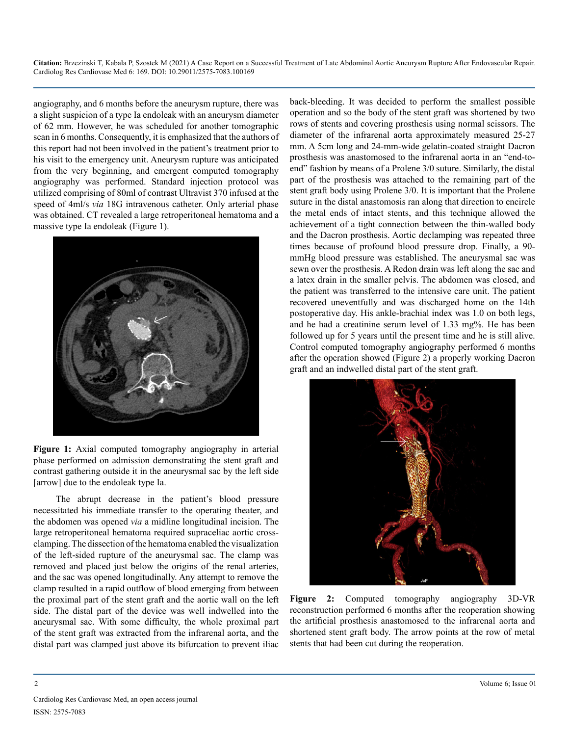**Citation:** Brzezinski T, Kabala P, Szostek M (2021) A Case Report on a Successful Treatment of Late Abdominal Aortic Aneurysm Rupture After Endovascular Repair. Cardiolog Res Cardiovasc Med 6: 169. DOI: 10.29011/2575-7083.100169

angiography, and 6 months before the aneurysm rupture, there was a slight suspicion of a type Ia endoleak with an aneurysm diameter of 62 mm. However, he was scheduled for another tomographic scan in 6 months. Consequently, it is emphasized that the authors of this report had not been involved in the patient's treatment prior to his visit to the emergency unit. Aneurysm rupture was anticipated from the very beginning, and emergent computed tomography angiography was performed. Standard injection protocol was utilized comprising of 80ml of contrast Ultravist 370 infused at the speed of 4ml/s *via* 18G intravenous catheter. Only arterial phase was obtained. CT revealed a large retroperitoneal hematoma and a massive type Ia endoleak (Figure 1).



Figure 1: Axial computed tomography angiography in arterial phase performed on admission demonstrating the stent graft and contrast gathering outside it in the aneurysmal sac by the left side [arrow] due to the endoleak type Ia.

The abrupt decrease in the patient's blood pressure necessitated his immediate transfer to the operating theater, and the abdomen was opened *via* a midline longitudinal incision. The large retroperitoneal hematoma required supraceliac aortic crossclamping. The dissection of the hematoma enabled the visualization of the left-sided rupture of the aneurysmal sac. The clamp was removed and placed just below the origins of the renal arteries, and the sac was opened longitudinally. Any attempt to remove the clamp resulted in a rapid outflow of blood emerging from between the proximal part of the stent graft and the aortic wall on the left side. The distal part of the device was well indwelled into the aneurysmal sac. With some difficulty, the whole proximal part of the stent graft was extracted from the infrarenal aorta, and the distal part was clamped just above its bifurcation to prevent iliac

back-bleeding. It was decided to perform the smallest possible operation and so the body of the stent graft was shortened by two rows of stents and covering prosthesis using normal scissors. The diameter of the infrarenal aorta approximately measured 25-27 mm. A 5cm long and 24-mm-wide gelatin-coated straight Dacron prosthesis was anastomosed to the infrarenal aorta in an "end-toend" fashion by means of a Prolene 3/0 suture. Similarly, the distal part of the prosthesis was attached to the remaining part of the stent graft body using Prolene 3/0. It is important that the Prolene suture in the distal anastomosis ran along that direction to encircle the metal ends of intact stents, and this technique allowed the achievement of a tight connection between the thin-walled body and the Dacron prosthesis. Aortic declamping was repeated three times because of profound blood pressure drop. Finally, a 90 mmHg blood pressure was established. The aneurysmal sac was sewn over the prosthesis. A Redon drain was left along the sac and a latex drain in the smaller pelvis. The abdomen was closed, and the patient was transferred to the intensive care unit. The patient recovered uneventfully and was discharged home on the 14th postoperative day. His ankle-brachial index was 1.0 on both legs, and he had a creatinine serum level of 1.33 mg%. He has been followed up for 5 years until the present time and he is still alive. Control computed tomography angiography performed 6 months after the operation showed (Figure 2) a properly working Dacron graft and an indwelled distal part of the stent graft.



**Figure 2:** Computed tomography angiography 3D-VR reconstruction performed 6 months after the reoperation showing the artificial prosthesis anastomosed to the infrarenal aorta and shortened stent graft body. The arrow points at the row of metal stents that had been cut during the reoperation.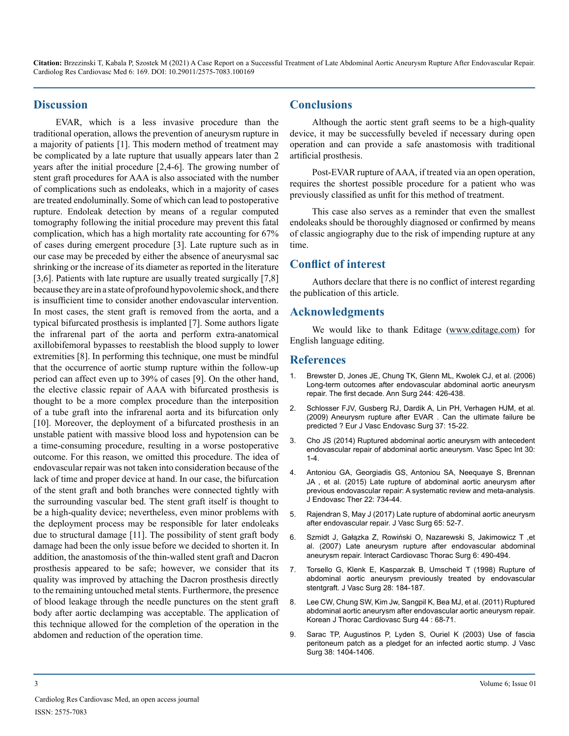**Citation:** Brzezinski T, Kabala P, Szostek M (2021) A Case Report on a Successful Treatment of Late Abdominal Aortic Aneurysm Rupture After Endovascular Repair. Cardiolog Res Cardiovasc Med 6: 169. DOI: 10.29011/2575-7083.100169

#### **Discussion**

EVAR, which is a less invasive procedure than the traditional operation, allows the prevention of aneurysm rupture in a majority of patients [1]. This modern method of treatment may be complicated by a late rupture that usually appears later than 2 years after the initial procedure [2,4-6]. The growing number of stent graft procedures for AAA is also associated with the number of complications such as endoleaks, which in a majority of cases are treated endoluminally. Some of which can lead to postoperative rupture. Endoleak detection by means of a regular computed tomography following the initial procedure may prevent this fatal complication, which has a high mortality rate accounting for 67% of cases during emergent procedure [3]. Late rupture such as in our case may be preceded by either the absence of aneurysmal sac shrinking or the increase of its diameter as reported in the literature [3,6]. Patients with late rupture are usually treated surgically [7,8] because they are in a state of profound hypovolemic shock, and there is insufficient time to consider another endovascular intervention. In most cases, the stent graft is removed from the aorta, and a typical bifurcated prosthesis is implanted [7]. Some authors ligate the infrarenal part of the aorta and perform extra-anatomical axillobifemoral bypasses to reestablish the blood supply to lower extremities [8]. In performing this technique, one must be mindful that the occurrence of aortic stump rupture within the follow-up period can affect even up to 39% of cases [9]. On the other hand, the elective classic repair of AAA with bifurcated prosthesis is thought to be a more complex procedure than the interposition of a tube graft into the infrarenal aorta and its bifurcation only [10]. Moreover, the deployment of a bifurcated prosthesis in an unstable patient with massive blood loss and hypotension can be a time-consuming procedure, resulting in a worse postoperative outcome. For this reason, we omitted this procedure. The idea of endovascular repair was not taken into consideration because of the lack of time and proper device at hand. In our case, the bifurcation of the stent graft and both branches were connected tightly with the surrounding vascular bed. The stent graft itself is thought to be a high-quality device; nevertheless, even minor problems with the deployment process may be responsible for later endoleaks due to structural damage [11]. The possibility of stent graft body damage had been the only issue before we decided to shorten it. In addition, the anastomosis of the thin-walled stent graft and Dacron prosthesis appeared to be safe; however, we consider that its quality was improved by attaching the Dacron prosthesis directly to the remaining untouched metal stents. Furthermore, the presence of blood leakage through the needle punctures on the stent graft body after aortic declamping was acceptable. The application of this technique allowed for the completion of the operation in the abdomen and reduction of the operation time.

#### **Conclusions**

Although the aortic stent graft seems to be a high-quality device, it may be successfully beveled if necessary during open operation and can provide a safe anastomosis with traditional artificial prosthesis.

Post-EVAR rupture of AAA, if treated via an open operation, requires the shortest possible procedure for a patient who was previously classified as unfit for this method of treatment.

This case also serves as a reminder that even the smallest endoleaks should be thoroughly diagnosed or confirmed by means of classic angiography due to the risk of impending rupture at any time.

#### **Conflict of interest**

Authors declare that there is no conflict of interest regarding the publication of this article.

#### **Acknowledgments**

We would like to thank Editage ([www.editage.com\)](http://www.editage.com) for English language editing.

#### **References**

- 1. [Brewster D, Jones JE, Chung TK, Glenn ML, Kwolek CJ, et al. \(2006\)](https://pubmed.ncbi.nlm.nih.gov/16926569/) [Long-term outcomes after endovascular abdominal aortic aneurysm](https://pubmed.ncbi.nlm.nih.gov/16926569/)  [repair. The first decade. Ann Surg 244: 426-438.](https://pubmed.ncbi.nlm.nih.gov/16926569/)
- 2. [Schlosser FJV, Gusberg RJ, Dardik A, Lin PH, Verhagen HJM, et al.](https://pubmed.ncbi.nlm.nih.gov/19008129/)  [\(2009\) Aneurysm rupture after EVAR . Can the ultimate failure be](https://pubmed.ncbi.nlm.nih.gov/19008129/)  [predicted ? Eur J Vasc Endovasc Surg 37: 15-22.](https://pubmed.ncbi.nlm.nih.gov/19008129/)
- 3. [Cho JS \(2014\) Ruptured abdominal aortic aneurysm with antecedent](https://pubmed.ncbi.nlm.nih.gov/26217608/)  [endovascular repair of abdominal aortic aneurysm. Vasc Spec Int 30:](https://pubmed.ncbi.nlm.nih.gov/26217608/)   $1 - 4$
- 4. [Antoniou GA, Georgiadis GS, Antoniou SA, Neequaye S, Brennan](https://pubmed.ncbi.nlm.nih.gov/26286073/)  [JA , et al. \(2015\) Late rupture of abdominal aortic aneurysm after](https://pubmed.ncbi.nlm.nih.gov/26286073/)  [previous endovascular repair: A systematic review and meta-analysis.](https://pubmed.ncbi.nlm.nih.gov/26286073/)  [J Endovasc Ther 22: 734-44.](https://pubmed.ncbi.nlm.nih.gov/26286073/)
- 5. Rajendran S, May J (2017) Late rupture of abdominal aortic aneurysm after endovascular repair. J Vasc Surg 65: 52-7.
- 6. [Szmidt J, Gałązka Z, Rowiński O, Nazarewski S, Jakimowicz T ,et](https://pubmed.ncbi.nlm.nih.gov/17669913/) [al. \(2007\) Late aneurysm rupture after endovascular abdominal](https://pubmed.ncbi.nlm.nih.gov/17669913/)  [aneurysm repair. Interact Cardiovasc Thorac Surg 6: 490-494.](https://pubmed.ncbi.nlm.nih.gov/17669913/)
- 7. [Torsello G, Klenk E, Kasparzak B, Umscheid T \(1998\) Rupture of](https://www.sciencedirect.com/science/article/pii/S0741521498702149)  [abdominal aortic aneurysm previously treated by endovascular](https://www.sciencedirect.com/science/article/pii/S0741521498702149)  [stentgraft. J Vasc Surg 28: 184-187.](https://www.sciencedirect.com/science/article/pii/S0741521498702149)
- 8. [Lee CW, Chung SW, Kim Jw, Sangpil K, Bea MJ, et al. \(2011\) Ruptured](https://pubmed.ncbi.nlm.nih.gov/22263128/)  [abdominal aortic aneurysm after endovascular aortic aneurysm repair.](https://pubmed.ncbi.nlm.nih.gov/22263128/)  [Korean J Thorac Cardiovasc Surg 44 : 68-71.](https://pubmed.ncbi.nlm.nih.gov/22263128/)
- 9. [Sarac TP, Augustinos P, Lyden S, Ouriel K \(2003\) Use of fascia](https://pubmed.ncbi.nlm.nih.gov/14681648/)  [peritoneum patch as a pledget for an infected aortic stump. J Vasc](https://pubmed.ncbi.nlm.nih.gov/14681648/)  [Surg 38: 1404-1406.](https://pubmed.ncbi.nlm.nih.gov/14681648/)